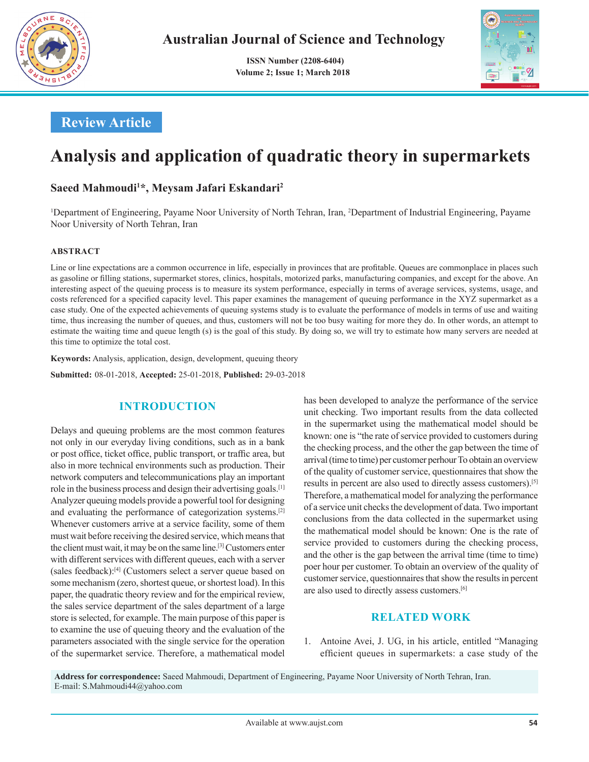

 **ISSN Number (2208-6404) Volume 2; Issue 1; March 2018**



## **Review Article**

# **Analysis and application of quadratic theory in supermarkets**

## **Saeed Mahmoudi1 \*, Meysam Jafari Eskandari2**

<sup>1</sup>Department of Engineering, Payame Noor University of North Tehran, Iran, <sup>2</sup>Department of Industrial Engineering, Payame Noor University of North Tehran, Iran

#### **ABSTRACT**

Line or line expectations are a common occurrence in life, especially in provinces that are profitable. Queues are commonplace in places such as gasoline or filling stations, supermarket stores, clinics, hospitals, motorized parks, manufacturing companies, and except for the above. An interesting aspect of the queuing process is to measure its system performance, especially in terms of average services, systems, usage, and costs referenced for a specified capacity level. This paper examines the management of queuing performance in the XYZ supermarket as a case study. One of the expected achievements of queuing systems study is to evaluate the performance of models in terms of use and waiting time, thus increasing the number of queues, and thus, customers will not be too busy waiting for more they do. In other words, an attempt to estimate the waiting time and queue length (s) is the goal of this study. By doing so, we will try to estimate how many servers are needed at this time to optimize the total cost.

**Keywords:** Analysis, application, design, development, queuing theory

**Submitted:**  08-01-2018, **Accepted:** 25-01-2018, **Published:** 29-03-2018

#### **INTRODUCTION**

Delays and queuing problems are the most common features not only in our everyday living conditions, such as in a bank or post office, ticket office, public transport, or traffic area, but also in more technical environments such as production. Their network computers and telecommunications play an important role in the business process and design their advertising goals.[1] Analyzer queuing models provide a powerful tool for designing and evaluating the performance of categorization systems.[2] Whenever customers arrive at a service facility, some of them must wait before receiving the desired service, which means that the client must wait, it may be on the same line.[3] Customers enter with different services with different queues, each with a server (sales feedback):[4] (Customers select a server queue based on some mechanism (zero, shortest queue, or shortest load). In this paper, the quadratic theory review and for the empirical review, the sales service department of the sales department of a large store is selected, for example. The main purpose of this paper is to examine the use of queuing theory and the evaluation of the parameters associated with the single service for the operation of the supermarket service. Therefore, a mathematical model has been developed to analyze the performance of the service unit checking. Two important results from the data collected in the supermarket using the mathematical model should be known: one is "the rate of service provided to customers during the checking process, and the other the gap between the time of arrival (time to time) per customer perhour To obtain an overview of the quality of customer service, questionnaires that show the results in percent are also used to directly assess customers).[5] Therefore, a mathematical model for analyzing the performance of a service unit checks the development of data. Two important conclusions from the data collected in the supermarket using the mathematical model should be known: One is the rate of service provided to customers during the checking process, and the other is the gap between the arrival time (time to time) poer hour per customer. To obtain an overview of the quality of customer service, questionnaires that show the results in percent are also used to directly assess customers.[6]

#### **RELATED WORK**

1. Antoine Avei, J. UG, in his article, entitled "Managing efficient queues in supermarkets: a case study of the

**Address for correspondence:** Saeed Mahmoudi, Department of Engineering, Payame Noor University of North Tehran, Iran. E-mail: S.Mahmoudi44@yahoo.com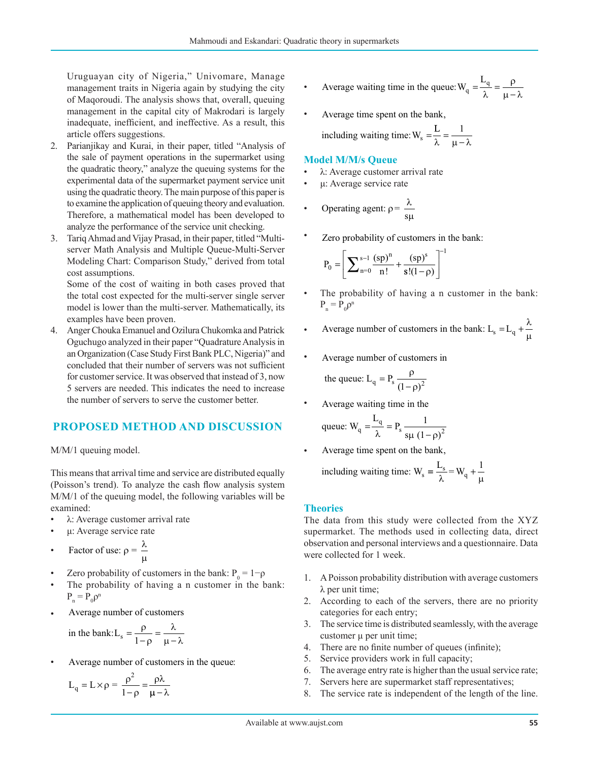Uruguayan city of Nigeria," Univomare, Manage management traits in Nigeria again by studying the city of Maqoroudi. The analysis shows that, overall, queuing management in the capital city of Makrodari is largely inadequate, inefficient, and ineffective. As a result, this article offers suggestions.

- 2. Parianjikay and Kurai, in their paper, titled "Analysis of the sale of payment operations in the supermarket using the quadratic theory," analyze the queuing systems for the experimental data of the supermarket payment service unit using the quadratic theory. The main purpose of this paper is to examine the application of queuing theory and evaluation. Therefore, a mathematical model has been developed to analyze the performance of the service unit checking.
- 3. Tariq Ahmad and Vijay Prasad, in their paper, titled "Multiserver Math Analysis and Multiple Queue-Multi-Server Modeling Chart: Comparison Study," derived from total cost assumptions.

Some of the cost of waiting in both cases proved that the total cost expected for the multi-server single server model is lower than the multi-server. Mathematically, its examples have been proven.

4. Anger Chouka Emanuel and Ozilura Chukomka and Patrick Oguchugo analyzed in their paper "Quadrature Analysis in an Organization (Case Study First Bank PLC, Nigeria)" and concluded that their number of servers was not sufficient for customer service. It was observed that instead of 3, now 5 servers are needed. This indicates the need to increase the number of servers to serve the customer better.

## **PROPOSED METHOD AND DISCUSSION**

M/M/1 queuing model.

This means that arrival time and service are distributed equally (Poisson's trend). To analyze the cash flow analysis system M/M/1 of the queuing model, the following variables will be examined:

- $\lambda$ : Average customer arrival rate
- μ: Average service rate
- Factor of use:  $\rho = \frac{\lambda}{\mu}$
- Zero probability of customers in the bank:  $P_0 = 1-p$
- The probability of having a n customer in the bank:  $P_n = P_0 \rho^n$
- Average number of customers

in the bank:  $L_s = \frac{\rho}{1-\rho} = \frac{\lambda}{\mu - \rho}$ ρ λ  $1-\rho$   $\mu-\lambda$ 

• Average number of customers in the queue:

$$
L_q = L \times \rho = \frac{\rho^2}{1 - \rho} = \frac{\rho \lambda}{\mu - \lambda}
$$

- Average waiting time in the queue:  $W_i$ L  $\frac{L_q}{\lambda} = \frac{\rho}{\mu - \mu}$  $\mu - \lambda$
- Average time spent on the bank , including waiting time:  $W_s = \frac{L}{\lambda} = \frac{1}{\mu - \lambda}$

$$
\varepsilon \text{ wating time. } \mathbf{w_s} = \lambda - \mu - \lambda
$$

#### **Model M/M/s Queue**

 $\lambda$ : Average customer arrival rate

• 
$$
\mu
$$
: Average service rate

• Operating agent: 
$$
\rho = \frac{\lambda}{s\mu}
$$

Zero probability of customers in the bank:

$$
P_0 = \left[ \sum_{n=0}^{s-1} \frac{(sp)^n}{n!} + \frac{(sp)^s}{s!(1-\rho)} \right]
$$

The probability of having a n customer in the bank:  $P_n = P_0 \rho^n$ 

1

- Average number of customers in the bank:  $L_s = L_q + \frac{\lambda}{\mu}$
- Average number of customers in

the queue: L<sub>q</sub> = P<sub>s</sub> 
$$
\frac{\rho}{(1-\rho)^2}
$$

• Average waiting time in the

queue: 
$$
W_q = \frac{L_q}{\lambda} = P_s \frac{1}{s\mu (1-\rho)^2}
$$

• Average time spent on the bank,  
including waiting time: 
$$
W_s = \frac{L_s}{\lambda} = W_q + \frac{1}{\mu}
$$

#### **Theories**

The data from this study were collected from the XYZ supermarket. The methods used in collecting data, direct observation and personal interviews and a questionnaire. Data were collected for 1 week.

- 1. A Poisson probability distribution with average customers λ per unit time;
- 2. According to each of the servers, there are no priority categories for each entry;
- 3. The service time is distributed seamlessly, with the average customer μ per unit time;
- 4. There are no finite number of queues (infinite);
- 5. Service providers work in full capacity;
- 6. The average entry rate is higher than the usual service rate;
- 7. Servers here are supermarket staff representatives;
- 8. The service rate is independent of the length of the line.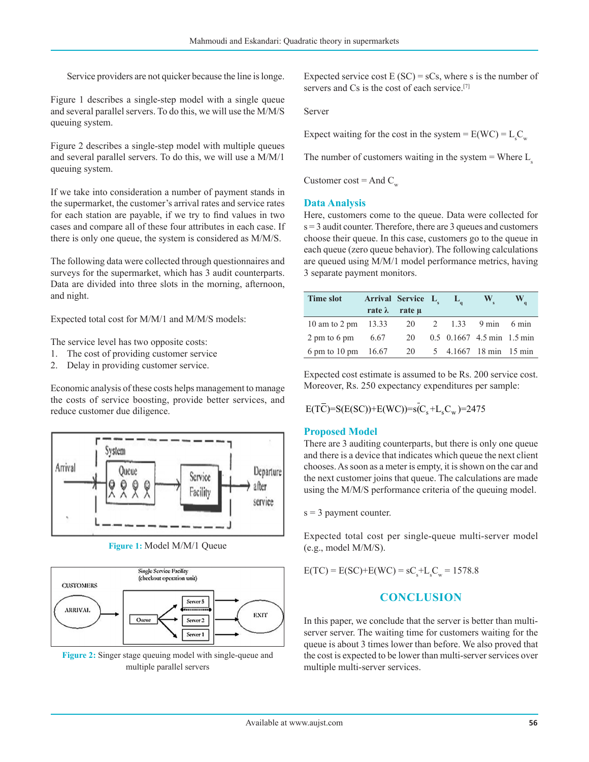Service providers are not quicker because the line is longe.

Figure 1 describes a single-step model with a single queue and several parallel servers. To do this, we will use the M/M/S queuing system.

Figure 2 describes a single-step model with multiple queues and several parallel servers. To do this, we will use a M/M/1 queuing system.

If we take into consideration a number of payment stands in the supermarket, the customer's arrival rates and service rates for each station are payable, if we try to find values in two cases and compare all of these four attributes in each case. If there is only one queue, the system is considered as M/M/S.

The following data were collected through questionnaires and surveys for the supermarket, which has 3 audit counterparts. Data are divided into three slots in the morning, afternoon, and night.

Expected total cost for M/M/1 and M/M/S models:

The service level has two opposite costs:

- 1. The cost of providing customer service
- 2. Delay in providing customer service.

Economic analysis of these costs helps management to manage the costs of service boosting, provide better services, and reduce customer due diligence.









Expected service cost  $E(SC) = sCs$ , where s is the number of servers and  $Cs$  is the cost of each service.<sup>[7]</sup>

Server

Expect waiting for the cost in the system =  $E(WC) = L<sub>s</sub>C<sub>w</sub>$ 

The number of customers waiting in the system  $=$  Where  $L<sub>s</sub>$ 

Customer cost = And  $C_{av}$ 

#### **Data Analysis**

Here, customers come to the queue. Data were collected for s = 3 audit counter. Therefore, there are 3 queues and customers choose their queue. In this case, customers go to the queue in each queue (zero queue behavior). The following calculations are queued using M/M/1 model performance metrics, having 3 separate payment monitors.

| <b>Time slot</b>       |      | Arrival Service $L_s$ $L_a$ |  | $\mathbf{W}_s$               | $\mathbf{W}_a$ |
|------------------------|------|-----------------------------|--|------------------------------|----------------|
|                        |      | rate $\lambda$ rate $\mu$   |  |                              |                |
| 10 am to 2 pm $13.33$  |      |                             |  | 20 2 1.33 9 min 6 min        |                |
| $2 \text{ pm}$ to 6 pm | 6.67 | 20                          |  | $0.5$ 0.1667 4.5 min 1.5 min |                |
| 6 pm to 10 pm $16.67$  |      | 20                          |  | 5 4.1667 18 min 15 min       |                |

Expected cost estimate is assumed to be Rs. 200 service cost. Moreover, Rs. 250 expectancy expenditures per sample:

$$
E(T\overline{C})=S(E(SC))+E(WC)=s(C_s+L_sC_w)=2475
$$

#### **Proposed Model**

There are 3 auditing counterparts, but there is only one queue and there is a device that indicates which queue the next client chooses. As soon as a meter is empty, it is shown on the car and the next customer joins that queue. The calculations are made using the M/M/S performance criteria of the queuing model.

 $s = 3$  payment counter.

Expected total cost per single-queue multi-server model (e.g., model M/M/S).

 $E(TC) = E(SC) + E(WC) = sC_s + L_sC_w = 1578.8$ 

#### **CONCLUSION**

In this paper, we conclude that the server is better than multiserver server. The waiting time for customers waiting for the queue is about 3 times lower than before. We also proved that the cost is expected to be lower than multi-server services over multiple multi-server services.